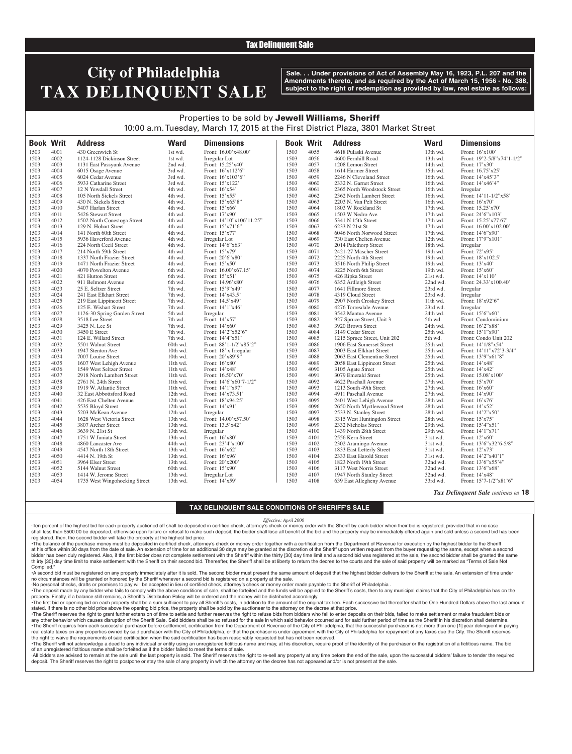### Tax Delinquent Sale

# **City of Philadelphia TAX DELINQUENT SALE**

**Sale. . . Under provisions of Act of Assembly May 16, 1923, P.L. 207 and the Amendments thereto, and as required by the Act of March 15, 1956 - No. 388, subject to the right of redemption as provided by law, real estate as follows:**

### Properties to be sold by Jewell Williams, Sheriff 10:00 a.m. Tuesday, March 17, 2015 at the First District Plaza, 3801 Market Street

| <b>Book Writ</b> |              | <b>Address</b>                | <b>Ward</b> | <b>Dimensions</b>        | <b>Book Writ</b> |              | <b>Address</b>               | <b>Ward</b>          | <b>Dimensions</b>          |
|------------------|--------------|-------------------------------|-------------|--------------------------|------------------|--------------|------------------------------|----------------------|----------------------------|
| 1503             | 4001         | 430 Greenwich St              | 1st wd.     | Front: 16.00'x48.00'     | 1503             | 4055         | 4618 Pulaski Avenue          | 13th wd.             | Front: 16'x100'            |
| 1503             | 4002         | 1124-1128 Dickinson Street    | 1st wd.     | Irregular Lot            | 1503             | 4056         | 4600 Fernhill Road           | 13th wd.             | Front: 19'2-5/8"x74'1-1/2" |
| 1503             | 4003         | 1131 East Passyunk Avenue     | 2nd wd.     | Front: 15.25'x40'        | 1503             | 4057         | 1208 Lemon Street            | 14th wd.             | Front: 17'x30'             |
| 1503             | 4004         | 6015 Osage Avenue             | 3rd wd.     | Front: $16'x112'6"$      | 1503             | 4058         | 1614 Harmer Street           | 15th wd.             | Front: 16.75'x25'          |
| 1503             | 4005         | 6024 Cedar Avenue             | 3rd wd.     | Front: 16'x103'6"        | 1503             | 4059         | 2246 N Cleveland Street      | 16th wd.             | Front: 14'x45'3"           |
| 1503             | 4006         | 5933 Catharine Street         | 3rd wd.     | Front: 15'x122'          | 1503             | 4060         | 2332 N. Garnet Street        | 16th wd.             | Front: 14'x46'4"           |
| 1503             | 4007         | 12 N Yewdall Street           | 4th wd.     | Front: 16'x54'           | 1503             | 4061         | 2365 North Woodstock Street  | 16th wd.             | Irregular                  |
| 1503             | 4008         | 105 North Sickels Street      | 4th wd.     | Front: 15'x55'           | 1503             | 4062         | 2362 North Lambert Street    | 16th wd.             | Front: 14'11-1/2"x58'      |
| 1503             | 4009         | 430 N. Sickels Street         | 4th wd.     | Front: 15'x65'8"         | 1503             | 4063         | 2203 N. Van Pelt Street      | 16th wd.             | Front: $16'x70'$           |
| 1503             | 4010         | 5407 Harlan Street            | 4th wd.     | Front: 15'x66'           | 1503             | 4064         | 1803 W Rockland St           | 17th wd.             | Front: 15.25'x70'          |
| 1503             | 4011         | 5426 Stewart Street           | 4th wd.     | Front: 17'x90'           | 1503             | 4065         | 1503 W Nedro Ave             | 17th wd.             | Front: 24'6"x103'          |
| 1503             | 4012         | 1502 North Conestoga Street   | 4th wd.     | Front: 14'10"x106'11.25" | 1503             | 4066         | 5341 N 15th Street           | 17th wd.             | Front: 15.25'x77.67'       |
| 1503             | 4013         | 129 N. Hobart Street          | 4th wd.     | Front: 15'x71'6"         | 1503             | 4067         | 6233 N 21st St               | 17th wd.             | Front: 16.00'x102.00'      |
|                  | 4014         |                               |             |                          |                  |              |                              |                      |                            |
| 1503             | 4015         | 141 North 60th Street         | 4th wd.     | Front: 15'x77'           | 1503<br>1503     | 4068         | 6046 North Norwood Street    | 17th wd.<br>12th wd. | Front: 14'6"x90'           |
| 1503<br>1503     | 4016         | 5936 Haverford Avenue         | 4th wd.     | Irregular Lot            | 1503             | 4069<br>4070 | 730 East Chelten Avenue      |                      | Front: 17'9"x101'          |
|                  |              | 224 North Cecil Street        | 4th wd.     | Front: 14'6"x63'         |                  |              | 2014 Palethorp Street        | 18th wd.             | Irregular                  |
| 1503             | 4017         | 214 North 59th Street         | 4th wd.     | Front: 15'x79'           | 1503             | 4071         | 2421-27 Mascher Street       | 19th wd.             | Front: 72'x95'             |
| 1503             | 4018<br>4019 | 1337 North Frazier Street     | 4th wd.     | Front: 20'6"x80'         | 1503<br>1503     | 4072<br>4073 | 2225 North 4th Street        | 19th wd.             | Front: 18'x102.5'          |
| 1503             |              | 1471 North Frazier Street     | 4th wd.     | Front: 15'x50'           |                  |              | 3516 North Philip Street     | 19th wd.             | Front: 13'x40'             |
| 1503             | 4020         | 4070 Powelton Avenue          | 6th wd.     | Front: 16.00'x67.15'     | 1503             | 4074         | 3225 North 6th Street        | 19th wd.             | Front: 15'x60'             |
| 1503             | 4021         | 821 Hutton Street             | 6th wd.     | Front: 15'x51'           | 1503             | 4075         | 426 Ripka Street             | 21st wd.             | Front: 14'x110'            |
| 1503             | 4022         | 911 Belmont Avenue            | 6th wd.     | Front: 14.96'x80'        | 1503             | 4076         | 6352 Ardleigh Street         | 22nd wd.             | Front: 24.33'x100.40'      |
| 1503             | 4023         | 25 E. Seltzer Street          | 7th wd.     | Front: 15'9"x49'         | 1503             | 4077         | 1641 Fillmore Street         | 23rd wd.             | Irregular                  |
| 1503             | 4024         | 241 East Elkhart Street       | 7th wd.     | Front: 14'x43.5'         | 1503             | 4078         | 4319 Cloud Street            | 23rd wd.             | Irregular                  |
| 1503             | 4025         | 219 East Lippincott Street    | 7th wd.     | Front: 14.5'x49'         | 1503             | 4079         | 2907 North Croskey Street    | 11th wd.             | Front: 18'x92'6"           |
| 1503             | 4026         | 125 E. Wishart Street         | 7th wd.     | Front: 14'1"x46'         | 1503             | 4080         | 4276 Torresdale Avenue       | 23rd wd.             | Irregular                  |
| 1503             | 4027         | 1126-30 Spring Garden Street  | 5th wd.     | Irregular                | 1503             | 4081         | 3542 Mantua Avenue           | 24th wd.             | Front: 15'6"x60'           |
| 1503             | 4028         | 3518 Lee Street               | 7th wd.     | Front: 14'x57'           | 1503             | 4082         | 927 Spruce Street, Unit 3    | 5th wd.              | Front: Condominium         |
| 1503             | 4029         | 3425 N. Lee St                | 7th wd.     | Front: $14'x60'$         | 1503             | 4083         | 3920 Brown Street            | 24th wd.             | Front: 16'2"x88'           |
| 1503             | 4030         | 3450 E Street                 | 7th wd.     | Front: 14'2"x52'6"       | 1503             | 4084         | 3149 Cedar Street            | 25th wd.             | Front: 15'1"x90'           |
| 1503             | 4031         | 124 E. Willard Street         | 7th wd.     | Front: 14'4"x51'         | 1503             | 4085         | 1215 Spruce Street, Unit 202 | 5th wd.              | Front: Condo Unit 202      |
| 1503             | 4032         | 5501 Walnut Street            | 60th wd.    | Front: 88'1-1/2"x85'2"   | 1503             | 4086         | 1906 East Somerset Street    | 25th wd.             | Front: 14'1/8"x54'         |
| 1503             | 4033         | 1947 Stenton Ave              | 10th wd.    | Front: 18' x Irregular   | 1503             | 4087         | 2003 East Elkhart Street     | 25th wd.             | Front: 14'11"x72'3-3/4"    |
| 1503             | 4034         | 7007 Louise Street            | $10th$ wd.  | Front: 20'x89'9"         | 1503             | 4088         | 2063 East Clementine Street  | 25th wd.             | Front: 13'9"x61'8"         |
| 1503             | 4035         | 1607 West Lehigh Avenue       | 11th wd.    | Front: 16'x80'           | 1503             | 4089         | 2058 East Lippincott Street  | 25th wd.             | Front: 14'x48'             |
| 1503             | 4036         | 1549 West Seltzer Street      | 11th wd.    | Front: 14'x48'           | 1503             | 4090         | 3105 Agate Street            | 25th wd.             | Front: 14'x42'             |
| 1503             | 4037         | 2918 North Lambert Street     | $11th$ wd.  | Front: 16.50'x70'        | 1503             | 4091         | 3079 Emerald Street          | 25th wd.             | Front: 15.08'x100'         |
| 1503             | 4038         | 2761 N. 24th Street           | 11th wd.    | Front: 14'6"x60'7-1/2"   | 1503             | 4092         | 4622 Paschall Avenue         | 27th wd.             | Front: 15'x70'             |
| 1503             | 4039         | 1919 W. Atlantic Street       | 11th wd.    | Front: 14'1"x97'         | 1503             | 4093         | 1213 South 49th Street       | 27th wd.             | Front: 16'x60'             |
| 1503             | 4040         | 32 East Abbottsford Road      | 12th wd.    | Front: 14'x73.51'        | 1503             | 4094         | 4911 Paschall Avenue         | 27th wd.             | Front: 14'x90'             |
| 1503             | 4041         | 426 East Chelten Avenue       | 12th wd.    | Front: 18'x94.25'        | 1503             | 4095         | 2401 West Lehigh Avenue      | 28th wd.             | Front: 16'x76'             |
| 1503             | 4042         | 5535 Bloyd Street             | 12th wd.    | Front: 14'x91'           | 1503             | 4096         | 2650 North Myrtlewood Street | 28th wd.             | Front: 14'x52'             |
| 1503             | 4043         | 5203 McKean Avenue            | 12th wd.    | Irregular                | 1503             | 4097         | 2533 N. Stanley Street       | 28th wd.             | Front: 14'2"x50'           |
| 1503             | 4044         | 1628 West Victoria Street     | 13th wd.    | Front: 14.00'x57.50'     | 1503             | 4098         | 3315 West Huntingdon Street  | 28th wd.             | Front: 15'x75'             |
| 1503             | 4045         | 3807 Archer Street            | 13th wd.    | Front: 13.5'x42'         | 1503             | 4099         | 2332 Nicholas Street         | 29th wd.             | Front: 15'4"x51'           |
| 1503             | 4046         | 3639 N. 21st St               | 13th wd.    | Irregular                | 1503             | 4100         | 1439 North 28th Street       | 29th wd.             | Front: 14'1"x71'           |
| 1503             | 4047         | 1751 W Juniata Street         | 13th wd.    | Front: 16'x80'           | 1503             | 4101         | 2556 Kern Street             | 31st wd.             | Front: 12'x60'             |
| 1503             | 4048         | 4860 Lancaster Ave            | 44th wd.    | Front: 23'4"x100"        | 1503             | 4102         | 2302 Aramingo Avenue         | 31st wd.             | Front: 13'6"x32'6-5/8"     |
| 1503             | 4049         | 4547 North 18th Street        | 13th wd.    | Front: 16'x62'           | 1503             | 4103         | 1833 East Letterly Street    | 31st wd.             | Front: 12'x73'             |
| 1503             | 4050         | 4414 N. 19th St               | 13th wd.    | Front: 16'x96'           | 1503             | 4104         | 2333 East Harold Street      | 31st wd.             | Front: 14'2"x40'1"         |
| 1503             | 4051         | 3964 Elser Street             | 13th wd.    | Front: 20'x200'          | 1503             | 4105         | 1823 North 19th Street       | 32nd wd.             | Front: 13'6"x55'4"         |
| 1503             | 4052         | 5144 Walnut Street            | 60th wd.    | Front: 15'x90'           | 1503             | 4106         | 3117 West Norris Street      | 32nd wd.             | Front: 13'6"x68'           |
| 1503             | 4053         | 1414 W. Jerome Street         | 13th wd.    | Irregular Lot            | 1503             | 4107         | 1947 North Stanley Street    | 32nd wd.             | Front: 14'x48'             |
| 1503             | 4054         | 1735 West Wingohocking Street | 13th wd.    | Front: 14'x59'           | 1503             | 4108         | 639 East Allegheny Avenue    | 33rd wd.             | Front: 15'7-1/2"x81'6"     |

#### *Tax Delinquent Sale continues on* **18**

#### **TAX DELINQUENT SALE CONDITIONS OF SHERIFF'S SALE**

#### *Effective: April 2000*

·Ten percent of the highest bid for each property auctioned off shall be deposited in certified check, attorney's check or money order with the Sheriff by each bidder when their bid is registered, provided that in no case shall less than \$500.00 be deposited, otherwise upon failure or refusal to make such deposit, the bidder shall lose all benefit of the bid and the property may be immediately offered again and sold unless a second bid has registered, then, the second bidder will take the property at the highest bid price.

•The balance of the purchase money must be deposited in certified check, attorney's check or money order together with a certification from the Department of Revenue for execution by the highest bidder to the Sheriff at his office within 30 days from the date of sale. An extension of time for an additional 30 days may be granted at the discretion of the Sheriff upon written request from the buyer requesting the same, except when a second bidder has been duly registered. Also, if the first bidder does not complete settlement with the Sheriff within the thirty [30] day time limit and a second bid was registered at the sale, the second bidder shall be granted th irty [30] day time limit to make settlement with the Sheriff on their second bid. Thereafter, the Sheriff shall be at liberty to return the decree to the courts and the sale of said property will be marked as "Terms of Complied."

•A second bid must be registered on any property immediately after it is sold. The second bidder must present the same amount of deposit that the highest bidder delivers to the Sheriff at the sale. An extension of time under no circumstances will be granted or honored by the Sheriff whenever a second bid is registered on a property at the sale.

·No personal checks, drafts or promises to pay will be accepted in lieu of certified check, attorney's check or money order made payable to the Sheriff of Philadelphia .

The deposit made by any bidder who fails to comply with the above conditions of sale, shall be forteited and the funds will be applied to the Sheriff's costs, then to any municipal claims that the City of Philadelphia has property. Finally, if a balance still remains, a Sheriff's Distribution Policy will be ordered and the money will be distributed accordingly.

The first bid or opening bid on each property shall be a sum sufficient to pay all Sheriff's costs, in addition to the amount of the original tax lien. Each successive bid thereafter shall be One Hundred Dollars above the stated. If there is no other bid price above the opening bid price, the property shall be sold by the auctioneer to the attorney on the decree at that price.

· The Sheriff reserves the right to grant further extension of time to settle and further reserves the right to refuse bids from bidders who fail to enter deposits on their bids, failed to make settlement or make fraudulen any other behavior which causes disruption of the Sheriff Sale. Said bidders shall be so refused for the sale in which said behavior occurred and for said further period of time as the Sheriff in his discretion shall deter The Sheriff requires from each successful purchaser before settlement, certification from the Department of Revenue of the City of Philadelphia, that the successful purchaser is not more than one [1] year delinquent in pay real estate taxes on any properties owned by said purchaser with the City of Philadelphia, or that the purchaser is under agreement with the City of Philadelphia for repayment of any taxes due the City. The Sheriff reserves the right to waive the requirements of said certification when the said certification has been reasonably requested but has not been received.

. The Sheriff will not acknowledge a deed to any individual or entity using an unregistered fictitious name and may, at his discretion, require proof of the identity of the purchaser or the registration of a fictitious nam of an unregistered fictitious name shall be forfeited as if the bidder failed to meet the terms of sale.

All bidders are advised to remain at the sale until the last property is sold. The Sheriff reserves the right to re-sell any property at any time before the end of the sale, upon the successful bidders' failure to tender t deposit. The Sheriff reserves the right to postpone or stay the sale of any property in which the attorney on the decree has not appeared and/or is not present at the sale.